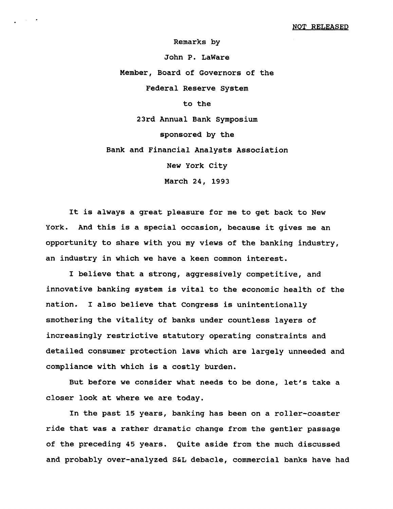**Remarks by**

**John P. LaWare**

**Member, Board of Governors of the**

**Federal Reserve System**

**to the**

**23rd Annual Bank Symposium**

**sponsored by the**

**Bank and Financial Analysts Association**

**New York City**

**March 24, 1993**

**It is always a great pleasure for me to get back to New York. And this is a special occasion, because it gives me an opportunity to share with you my views of the banking industry, an industry in which we have a keen common interest.**

**I believe that a strong, aggressively competitive, and innovative banking system is vital to the economic health of the nation. I also believe that Congress is unintentionally smothering the vitality of banks under countless layers of increasingly restrictive statutory operating constraints and detailed consumer protection laws which are largely unneeded and compliance with which is a costly burden.**

**But before we consider what needs to be done, let's take a closer look at where we are today.**

**In the past 15 years, banking has been on a roller-coaster ride that was a rather dramatic change from the gentler passage of the preceding 45 years. Quite aside from the much discussed and probably over-analyzed S&L debacle, commercial banks have had**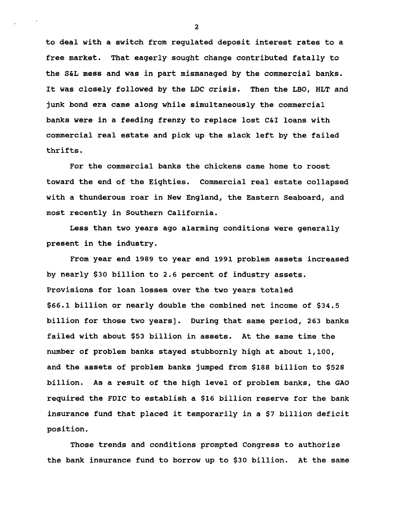**to deal with a switch from regulated deposit interest rates to a free market. That eagerly sought change contributed fatally to the S&L mess and was in part mismanaged by the commercial banks. It was closely followed by the LDC crisis. Then the LBO, HLT and junk bond era came along while simultaneously the commercial banks were in a feeding frenzy to replace lost C&I loans with commercial real estate and pick up the slack left by the failed thrifts.**

**For the commercial banks the chickens came home to roost toward the end of the Eighties. Commercial real estate collapsed with a thunderous roar in New England, the Eastern Seaboard, and most recently in Southern California.**

**Less than two years ago alarming conditions were generally present in the industry.**

**From year end 1989 to year end 1991 problem assets increased by nearly \$30 billion to 2.6 percent of industry assets. Provisions for loan losses over the two years totaled \$66.1 billion or nearly double the combined net income of \$34.5 billion for those two years]. During that same period, 263 banks failed with about \$53 billion in assets. At the same time the number of problem banks stayed stubbornly high at about 1,100, and the assets of problem banks jumped from \$188 billion to \$528 billion. As a result of the high level of problem banks, the GAO required the FDIC to establish a \$16 billion reserve for the bank insurance fund that placed it temporarily in a \$7 billion deficit position.**

**Those trends and conditions prompted Congress to authorize the bank insurance fund to borrow up to \$30 billion. At the same**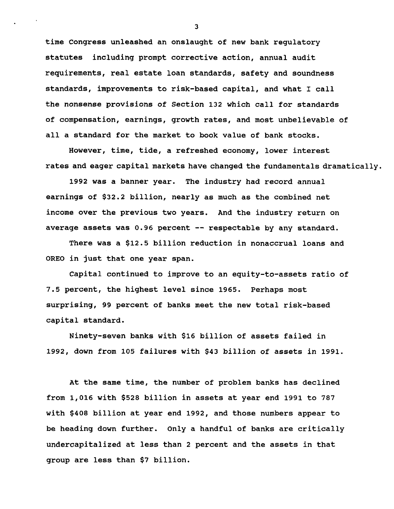**time Congress unleashed an onslaught of new bank regulatory statutes including prompt corrective action, annual audit requirements, real estate loan standards, safety and soundness standards, improvements to risk-based capital, and what I call the nonsense provisions of Section 132 which call for standards of compensation, earnings, growth rates, and most unbelievable of all a standard for the market to book value of bank stocks.**

**However, time, tide, a refreshed economy, lower interest rates and eager capital markets have changed the fundamentals dramatically.**

**1992 was a banner year. The industry had record annual earnings of \$32.2 billion, nearly as much as the combined net income over the previous two years. And the industry return on average assets was 0.96 percent — respectable by any standard.**

**There was a \$12.5 billion reduction in nonaccrual loans and OREO in just that one year span.**

**Capital continued to improve to an equity-to-assets ratio of 7.5 percent, the highest level since 1965. Perhaps most surprising, 99 percent of banks meet the new total risk-based capital standard.**

**Ninety-seven banks with \$16 billion of assets failed in 1992, down from 105 failures with \$43 billion of assets in 1991.**

**At the same time, the number of problem banks has declined from 1,016 with \$528 billion in assets at year end 1991 to 787 with \$408 billion at year end 1992, and those numbers appear to be heading down further. Only a handful of banks are critically undercapitalized at less than 2 percent and the assets in that group are less than \$7 billion.**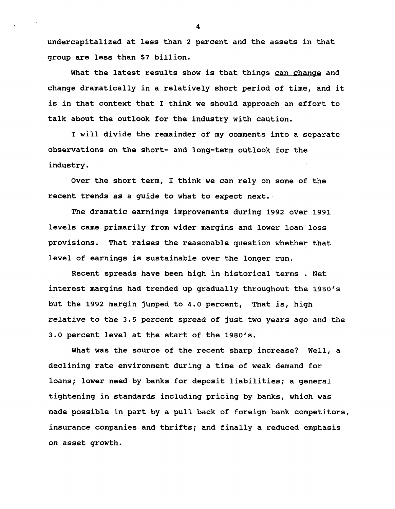**undercapitalized at less than 2 percent and the assets in that group are less than \$7 billion.**

**What the latest results show is that things can change and change dramatically in a relatively short period of time, and it is in that context that I think we should approach an effort to talk about the outlook for the industry with caution.**

**I will divide the remainder of my comments into a separate observations on the short- and long-term outlook for the industry.**

**Over the short term, I think we can rely on some of the recent trends as a guide to what to expect next.**

**The dramatic earnings improvements during 1992 over 1991 levels came primarily from wider margins and lower loan loss provisions. That raises the reasonable question whether that level of earnings is sustainable over the longer run.**

**Recent spreads have been high in historical terms . Net interest margins had trended up gradually throughout the 1980's but the 1992 margin jumped to 4.0 percent, That is, high relative to the 3.5 percent spread of just two years ago and the 3.0 percent level at the start of the 1980's.**

**What was the source of the recent sharp increase? Well, a declining rate environment during a time of weak demand for loans; lower need by banks for deposit liabilities; a general tightening in standards including pricing by banks, which was made possible in part by a pull back of foreign bank competitors, insurance companies and thrifts; and finally a reduced emphasis on asset growth.**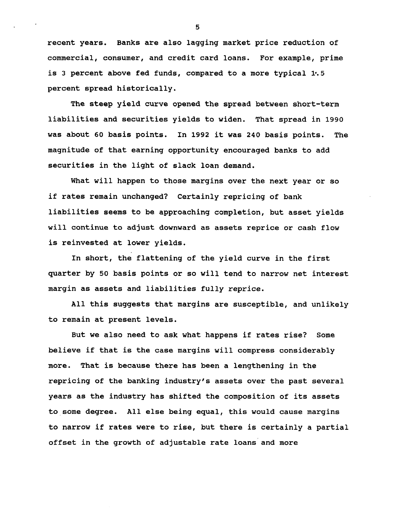**recent years. Banks are also lagging market price reduction of commercial, consumer, and credit card loans. For example, prime is 3 percent above fed funds, compared to a more typical 1\*.5 percent spread historically.**

**The steep yield curve opened the spread between short-term liabilities and securities yields to widen. That spread in 1990 was about 60 basis points. In 1992 it was 240 basis points. The magnitude of that earning opportunity encouraged banks to add securities in the light of slack loan demand.**

**What will happen to those margins over the next year or so if rates remain unchanged? Certainly repricing of bank liabilities seems to be approaching completion, but asset yields will continue to adjust downward as assets reprice or cash flow is reinvested at lower yields.**

**In short, the flattening of the yield curve in the first quarter by 50 basis points or so will tend to narrow net interest margin as assets and liabilities fully reprice.**

**All this suggests that margins are susceptible, and unlikely to remain at present levels.**

**But we also need to ask what happens if rates rise? Some believe if that is the case margins will compress considerably more. That is because there has been a lengthening in the repricing of the banking industry's assets over the past several years as the industry has shifted the composition of its assets to some degree. All else being equal, this would cause margins to narrow if rates were to rise, but there is certainly a partial offset in the growth of adjustable rate loans and more**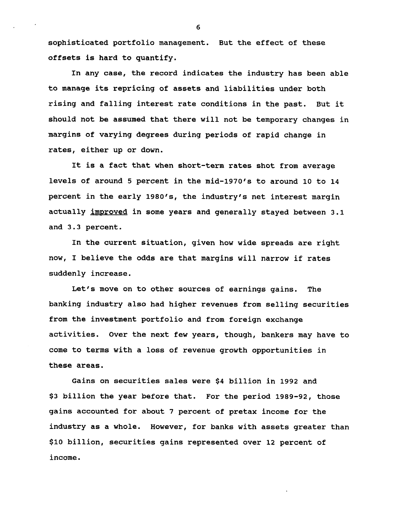**sophisticated portfolio management. But the effect of these offsets is hard to quantify.**

**In any case, the record indicates the industry has been able to manage its repricing of assets and liabilities under both rising and falling interest rate conditions in the past. But it should not be assumed that there will not be temporary changes in margins of varying degrees during periods of rapid change in rates, either up or down.**

**It is a fact that when short-term rates shot from average levels of around 5 percent in the mid-1970's to around 10 to 14 percent in the early 1980's, the industry's net interest margin actually improved in some years and generally stayed between 3.1 and 3.3 percent.**

**In the current situation, given how wide spreads are right now, I believe the odds are that margins will narrow if rates suddenly increase.**

**Let's move on to other sources of earnings gains. The banking industry also had higher revenues from selling securities from the investment portfolio and from foreign exchange activities. Over the next few years, though, bankers may have to come to terms with a loss of revenue growth opportunities in these areas.**

**Gains on securities sales were \$4 billion in 1992 and \$3 billion the year before that. For the period 1989-92, those gains accounted for about 7 percent of pretax income for the industry as a whole. However, for banks with assets greater than \$10 billion, securities gains represented over 12 percent of income.**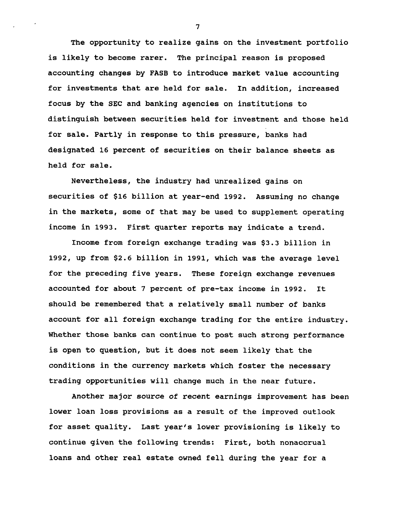**The opportunity to realize gains on the investment portfolio is likely to become rarer. The principal reason is proposed accounting changes by FASB to introduce market value accounting for investments that are held for sale. In addition, increased focus by the SEC and banking agencies on institutions to distinguish between securities held for investment and those held for sale. Partly in response to this pressure, banks had designated 16 percent of securities on their balance sheets as held for sale.**

**Nevertheless, the industry had unrealized gains on securities of \$16 billion at year-end 1992. Assuming no change in the markets, some of that may be used to supplement operating income in 1993. First quarter reports may indicate a trend.**

**Income from foreign exchange trading was \$3.3 billion in 1992, up from \$2.6 billion in 1991, which was the average level for the preceding five years. These foreign exchange revenues accounted for about 7 percent of pre-tax income in 1992. It should be remembered that a relatively small number of banks account for all foreign exchange trading for the entire industry. Whether those banks can continue to post such strong performance is open to question, but it does not seem likely that the conditions in the currency markets which foster the necessary trading opportunities will change much in the near future.**

**Another major source of recent earnings improvement has been lower loan loss provisions as a result of the improved outlook for asset quality. Last year's lower provisioning is likely to continue given the following trends: First, both nonaccrual loans and other real estate owned fell during the year for a**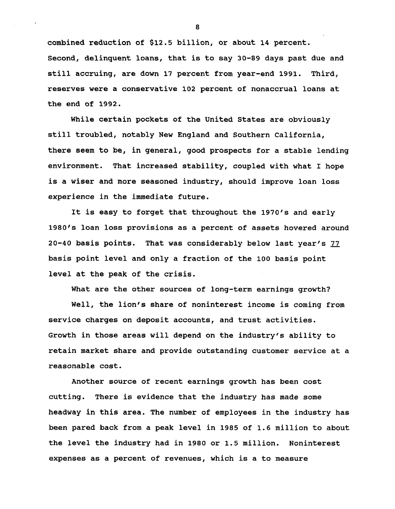**combined reduction of \$12.5 billion, or about 14 percent. Second, delinquent loans, that is to say 30-89 days past due and still accruing, are down 17 percent from year-end 1991. Third, reserves were a conservative 102 percent of nonaccrual loans at the end of 1992.**

**While certain pockets of the United States are obviously still troubled, notably New England and Southern California, there seem to be, in general, good prospects for a stable lending environment. That increased stability, coupled with what I hope is a wiser and more seasoned industry, should improve loan loss experience in the immediate future.**

**It is easy to forget that throughout the 1970's and early 1980's loan loss provisions as a percent of assets hovered around 20-40 basis points. That was considerably below last year's 77 basis point level and only a fraction of the 100 basis point level at the peak of the crisis.**

**What are the other sources of long-term earnings growth?**

**Well, the lion's share of noninterest income is coming from service charges on deposit accounts, and trust activities. Growth in those areas will depend on the industry's ability to retain market share and provide outstanding customer service at a reasonable cost.**

**Another source of recent earnings growth has been cost cutting. There is evidence that the industry has made some headway in this area. The number of employees in the industry has been pared back from a peak level in 1985 of 1.6 million to about the level the industry had in 1980 or 1.5 million. Noninterest expenses as a percent of revenues, which is a to measure**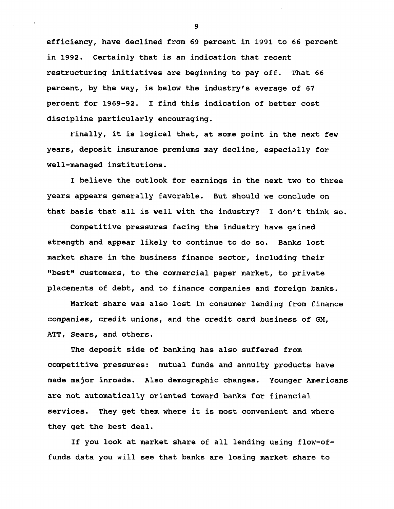**efficiency, have declined from 69 percent in 1991 to 66 percent in 1992. Certainly that is an indication that recent restructuring initiatives are beginning to pay off. That 66 percent, by the way, is below the industry's average of 67 percent for 1969-92. I find this indication of better cost discipline particularly encouraging.**

**Finally, it is logical that, at some point in the next few years, deposit insurance premiums may decline, especially for well-managed institutions.**

**I believe the outlook for earnings in the next two to three years appears generally favorable. But should we conclude on that basis that all is well with the industry? I don't think so.**

**Competitive pressures facing the industry have gained strength and appear likely to continue to do so. Banks lost market share in the business finance sector, including their "best" customers, to the commercial paper market, to private placements of debt, and to finance companies and foreign banks.**

**Market share was also lost in consumer lending from finance companies, credit unions, and the credit card business of GM, ATT, Sears, and others.**

**The deposit side of banking has also suffered from competitive pressures: mutual funds and annuity products have made major inroads. Also demographic changes. Younger Americans are not automatically oriented toward banks for financial services. They get them where it is most convenient and where they get the best deal.**

**If you look at market share of all lending using flow-offunds data you will see that banks are losing market share to**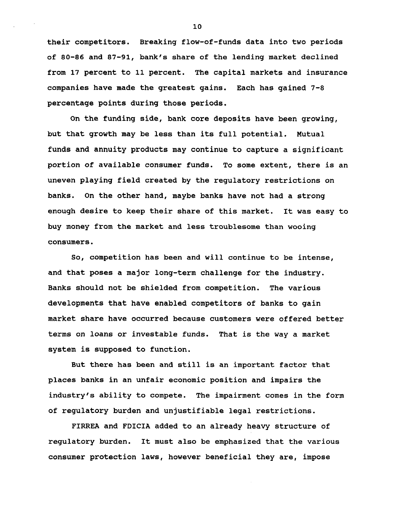**their competitors. Breaking flow-of-funds data into two periods of 80-86 and 87-91, bank's share of the lending market declined from 17 percent to 11 percent. The capital markets and insurance companies have made the greatest gains. Each has gained 7-8 percentage points during those periods.**

**On the funding side, bank core deposits have been growing, but that growth may be less than its full potential. Mutual funds and annuity products may continue to capture a significant portion of available consumer funds. To some extent, there is an uneven playing field created by the regulatory restrictions on banks. On the other hand, maybe banks have not had a strong enough desire to keep their share of this market. It was easy to buy money from the market and less troublesome than wooing consumers.**

**So, competition has been and will continue to be intense, and that poses a major long-term challenge for the industry. Banks should not be shielded from competition. The various developments that have enabled competitors of banks to gain market share have occurred because customers were offered better terms on loans or investable funds. That is the way a market system is supposed to function.**

**But there has been and still is an important factor that places banks in an unfair economic position and impairs the industry's ability to compete. The impairment comes in the form of regulatory burden and unjustifiable legal restrictions.**

**FIRREA and FDICIA added to an already heavy structure of regulatory burden. It must also be emphasized that the various consumer protection laws, however beneficial they are, impose**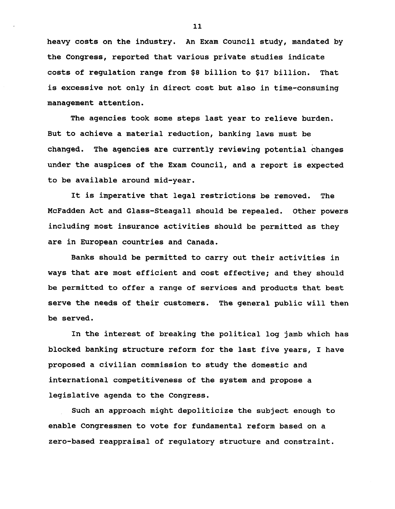**heavy costs on the industry. An Exam Council study, mandated by the Congress, reported that various private studies indicate costs of regulation range from \$8 billion to \$17 billion. That is excessive not only in direct cost but also in time-consuming management attention.**

**The agencies took some steps last year to relieve burden. But to achieve a material reduction, banking laws must be changed. The agencies are currently reviewing potential changes under the auspices of the Exam Council, and a report is expected to be available around mid-year.**

**It is imperative that legal restrictions be removed. The McFadden Act and Glass-Steagall should be repealed. Other powers including most insurance activities should be permitted as they are in European countries and Canada.**

**Banks should be permitted to carry out their activities in ways that are most efficient and cost effective; and they should be permitted to offer a range of services and products that best serve the needs of their customers. The general public will then be served.**

**In the interest of breaking the political log jamb which has blocked banking structure reform for the last five years, I have proposed a civilian commission to study the domestic and international competitiveness of the system and propose a legislative agenda to the Congress.**

**Such an approach might depoliticize the subject enough to enable Congressmen to vote for fundamental reform based on a zero-based reappraisal of regulatory structure and constraint.**